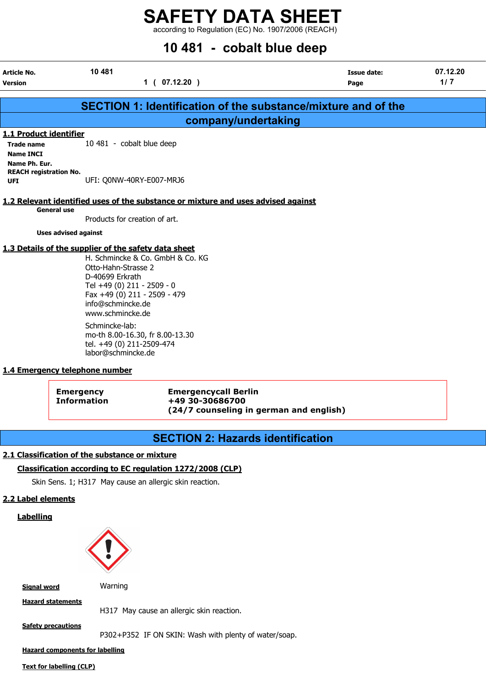according to Regulation (EC) No. 1907/2006 (REACH)

| 10 481 - cobalt blue deep                                    |                                                                                                                                                                                   |                            |                 |  |  |
|--------------------------------------------------------------|-----------------------------------------------------------------------------------------------------------------------------------------------------------------------------------|----------------------------|-----------------|--|--|
| Article No.<br>Version                                       | 10 481<br>1(07.12.20)                                                                                                                                                             | <b>Issue date:</b><br>Page | 07.12.20<br>1/7 |  |  |
|                                                              | <b>SECTION 1: Identification of the substance/mixture and of the</b>                                                                                                              |                            |                 |  |  |
|                                                              | company/undertaking                                                                                                                                                               |                            |                 |  |  |
| 1.1 Product identifier                                       |                                                                                                                                                                                   |                            |                 |  |  |
| <b>Trade name</b><br><b>Name INCI</b>                        | 10 481 - cobalt blue deep                                                                                                                                                         |                            |                 |  |  |
| Name Ph. Eur.<br><b>REACH registration No.</b><br><b>UFI</b> | UFI: Q0NW-40RY-E007-MRJ6                                                                                                                                                          |                            |                 |  |  |
|                                                              | 1.2 Relevant identified uses of the substance or mixture and uses advised against                                                                                                 |                            |                 |  |  |
| <b>General use</b>                                           | Products for creation of art.                                                                                                                                                     |                            |                 |  |  |
| <b>Uses advised against</b>                                  |                                                                                                                                                                                   |                            |                 |  |  |
|                                                              | 1.3 Details of the supplier of the safety data sheet                                                                                                                              |                            |                 |  |  |
|                                                              | H. Schmincke & Co. GmbH & Co. KG<br>Otto-Hahn-Strasse 2<br>D-40699 Erkrath<br>Tel +49 (0) 211 - 2509 - 0<br>Fax +49 (0) 211 - 2509 - 479<br>info@schmincke.de<br>www.schmincke.de |                            |                 |  |  |
|                                                              | Schmincke-lab:<br>mo-th 8.00-16.30, fr 8.00-13.30<br>tel. +49 (0) 211-2509-474<br>labor@schmincke.de                                                                              |                            |                 |  |  |
| 1.4 Emergency telephone number                               |                                                                                                                                                                                   |                            |                 |  |  |
|                                                              | <b>Emergencycall Berlin</b><br><b>Emergency</b><br>+49 30-30686700<br><b>Information</b>                                                                                          |                            |                 |  |  |

# SECTION 2: Hazards identification

(24/7 counseling in german and english)

# 2.1 Classification of the substance or mixture

# Classification according to EC regulation 1272/2008 (CLP)

Skin Sens. 1; H317 May cause an allergic skin reaction.

# 2.2 Label elements

**Labelling** 



Signal word Warning

Hazard statements

H317 May cause an allergic skin reaction.

**Safety precautions** 

P302+P352 IF ON SKIN: Wash with plenty of water/soap.

Hazard components for labelling

Text for labelling (CLP)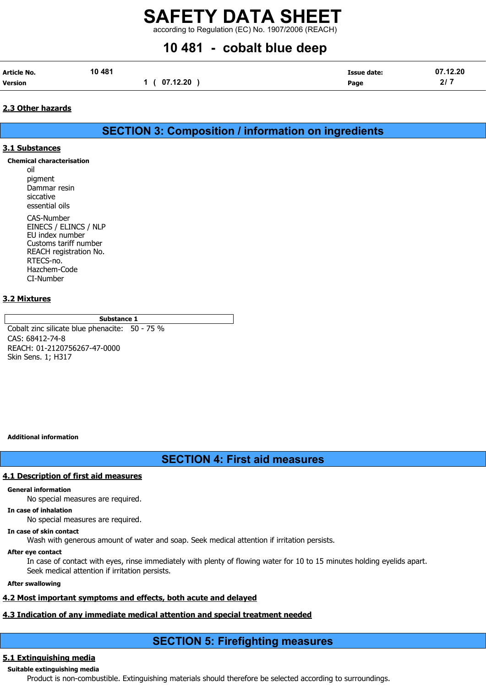according to Regulation (EC) No. 1907/2006 (REACH)

# 10 481 - cobalt blue deep

| Article No.    | 10 481 |             | Issue date: | 07.12.20 |
|----------------|--------|-------------|-------------|----------|
| <b>Version</b> |        | 1(07.12.20) | Page        | 2/7      |

# 2.3 Other hazards

SECTION 3: Composition / information on ingredients

# 3.1 Substances

Chemical characterisation

oil pigment Dammar resin siccative essential oils

CAS-Number EINECS / ELINCS / NLP EU index number Customs tariff number REACH registration No. RTECS-no. Hazchem-Code CI-Number

# 3.2 Mixtures

Substance 1

Cobalt zinc silicate blue phenacite: 50 - 75 % CAS: 68412-74-8 REACH: 01-2120756267-47-0000 Skin Sens. 1; H317

Additional information

# SECTION 4: First aid measures

## 4.1 Description of first aid measures

## General information

No special measures are required.

# In case of inhalation

No special measures are required.

### In case of skin contact

Wash with generous amount of water and soap. Seek medical attention if irritation persists.

### After eye contact

In case of contact with eyes, rinse immediately with plenty of flowing water for 10 to 15 minutes holding eyelids apart. Seek medical attention if irritation persists.

### After swallowing

# 4.2 Most important symptoms and effects, both acute and delayed

# 4.3 Indication of any immediate medical attention and special treatment needed

# SECTION 5: Firefighting measures

# 5.1 Extinguishing media

Suitable extinguishing media Product is non-combustible. Extinguishing materials should therefore be selected according to surroundings.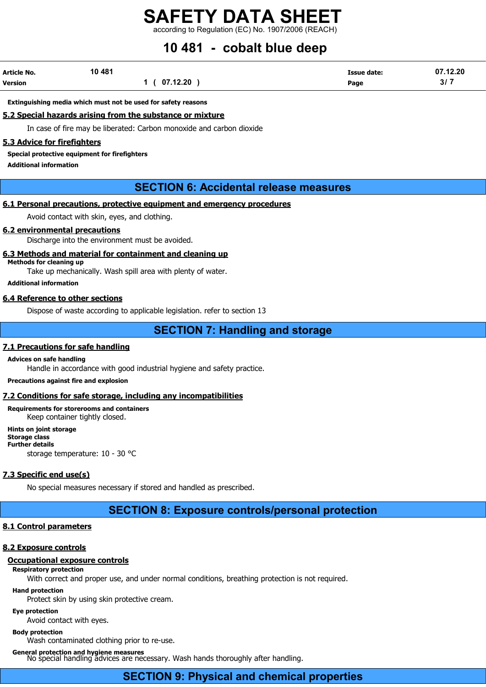according to Regulation (EC) No. 1907/2006 (REACH)

# 10 481 - cobalt blue deep

| Article No. | 10 481 |             | <b>Issue date:</b> | 07.12.20 |
|-------------|--------|-------------|--------------------|----------|
| Version     |        | 1(07.12.20) | Page               | 3/7      |

#### Extinguishing media which must not be used for safety reasons

### 5.2 Special hazards arising from the substance or mixture

In case of fire may be liberated: Carbon monoxide and carbon dioxide

#### 5.3 Advice for firefighters

Special protective equipment for firefighters

Additional information

# SECTION 6: Accidental release measures

## 6.1 Personal precautions, protective equipment and emergency procedures

Avoid contact with skin, eyes, and clothing.

#### 6.2 environmental precautions

Discharge into the environment must be avoided.

### 6.3 Methods and material for containment and cleaning up

Methods for cleaning up

Take up mechanically. Wash spill area with plenty of water.

Additional information

### 6.4 Reference to other sections

Dispose of waste according to applicable legislation. refer to section 13

# SECTION 7: Handling and storage

# 7.1 Precautions for safe handling

#### Advices on safe handling

Handle in accordance with good industrial hygiene and safety practice.

Precautions against fire and explosion

## 7.2 Conditions for safe storage, including any incompatibilities

Requirements for storerooms and containers Keep container tightly closed.

Hints on joint storage Storage class Further details storage temperature: 10 - 30 °C

### 7.3 Specific end use(s)

No special measures necessary if stored and handled as prescribed.

# SECTION 8: Exposure controls/personal protection

### 8.1 Control parameters

### 8.2 Exposure controls

### Occupational exposure controls

Respiratory protection

With correct and proper use, and under normal conditions, breathing protection is not required.

### Hand protection

Protect skin by using skin protective cream.

#### Eye protection

Avoid contact with eyes.

#### Body protection

Wash contaminated clothing prior to re-use.

## General protection and hygiene measures

No special handling advices are necessary. Wash hands thoroughly after handling.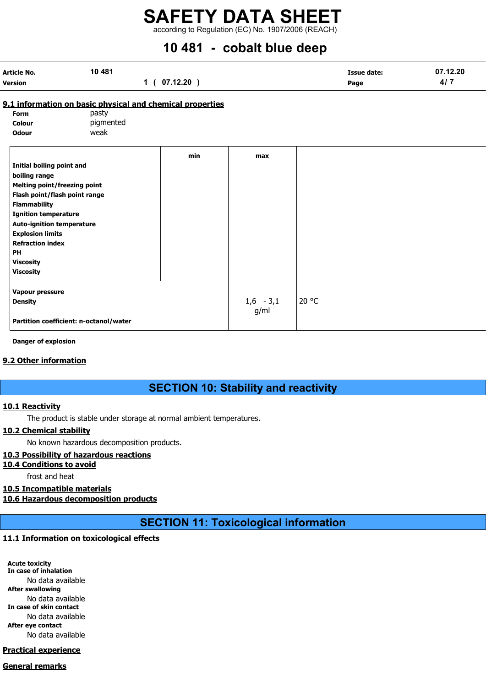according to Regulation (EC) No. 1907/2006 (REACH)

# 10 481 - cobalt blue deep

| Article No.    | 10 481 |              | <b>Issue date:</b> | 07.12.20 |
|----------------|--------|--------------|--------------------|----------|
| <b>Version</b> |        | 1 ( 07.12.20 | Page               | 417      |

# 9.1 information on basic physical and chemical properties

| Form         | pasty     |
|--------------|-----------|
| Colour       | pigmented |
| <b>Odour</b> | weak      |

|                                        | min | max         |       |
|----------------------------------------|-----|-------------|-------|
| <b>Initial boiling point and</b>       |     |             |       |
| boiling range                          |     |             |       |
| <b>Melting point/freezing point</b>    |     |             |       |
| Flash point/flash point range          |     |             |       |
| <b>Flammability</b>                    |     |             |       |
| <b>Ignition temperature</b>            |     |             |       |
| <b>Auto-ignition temperature</b>       |     |             |       |
| <b>Explosion limits</b>                |     |             |       |
| <b>Refraction index</b>                |     |             |       |
| <b>PH</b>                              |     |             |       |
| <b>Viscosity</b>                       |     |             |       |
| <b>Viscosity</b>                       |     |             |       |
| Vapour pressure                        |     |             |       |
| <b>Density</b>                         |     | $1,6 - 3,1$ | 20 °C |
|                                        |     | g/ml        |       |
| Partition coefficient: n-octanol/water |     |             |       |
|                                        |     |             |       |

Danger of explosion

# 9.2 Other information

# SECTION 10: Stability and reactivity

# 10.1 Reactivity

The product is stable under storage at normal ambient temperatures.

## 10.2 Chemical stability

No known hazardous decomposition products.

# 10.3 Possibility of hazardous reactions

### 10.4 Conditions to avoid

frost and heat

# 10.5 Incompatible materials

10.6 Hazardous decomposition products

SECTION 11: Toxicological information

# 11.1 Information on toxicological effects

Acute toxicity In case of inhalation No data available After swallowing No data available In case of skin contact No data available After eye contact No data available

# Practical experience

# General remarks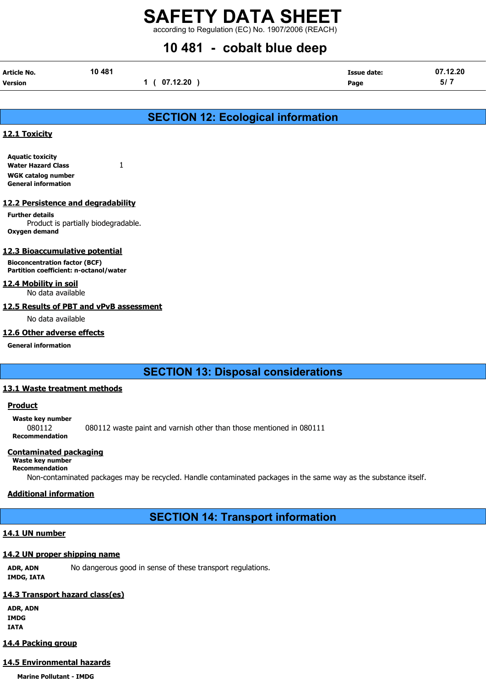according to Regulation (EC) No. 1907/2006 (REACH)

# 10 481 - cobalt blue deep

| Article No.    | 10 481 |             | <b>Issue date:</b> | 07.12.20 |
|----------------|--------|-------------|--------------------|----------|
| <b>Version</b> |        | 1(07.12.20) | Page               | 5/7      |

# SECTION 12: Ecological information

# 12.1 Toxicity

Aquatic toxicity Water Hazard Class 1 WGK catalog number General information

## 12.2 Persistence and degradability

Further details Product is partially biodegradable. Oxygen demand

## 12.3 Bioaccumulative potential

Bioconcentration factor (BCF) Partition coefficient: n-octanol/water

### 12.4 Mobility in soil

No data available

## 12.5 Results of PBT and vPvB assessment

No data available

## 12.6 Other adverse effects

General information

# SECTION 13: Disposal considerations

## 13.1 Waste treatment methods

## **Product**

Waste key number 080112 080112 waste paint and varnish other than those mentioned in 080111 Recommendation

## Contaminated packaging

# Waste key number

Recommendation

Non-contaminated packages may be recycled. Handle contaminated packages in the same way as the substance itself.

# Additional information

SECTION 14: Transport information

# 14.1 UN number

# 14.2 UN proper shipping name

ADR, ADN No dangerous good in sense of these transport regulations. IMDG, IATA

# 14.3 Transport hazard class(es)

ADR, ADN IMDG IATA

# 14.4 Packing group

# 14.5 Environmental hazards

Marine Pollutant - IMDG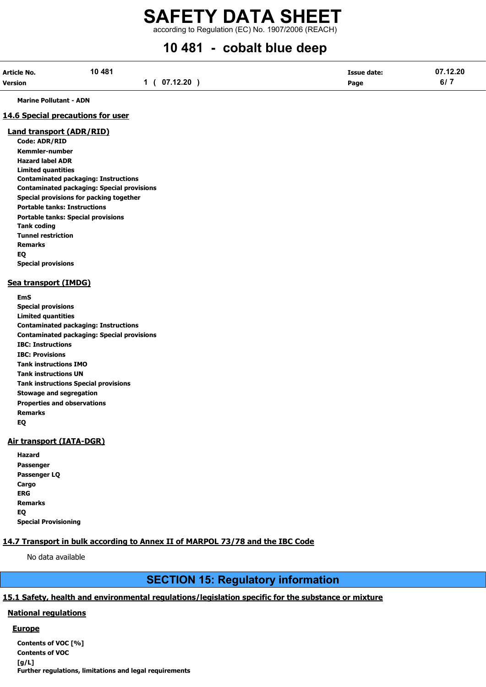according to Regulation (EC) No. 1907/2006 (REACH)

# 10 481 - cobalt blue deep

| Article No. | 10 481 |              | Issue date: | 07.12.20 |
|-------------|--------|--------------|-------------|----------|
| Version     |        | 1 ( 07.12.20 | Page        | 6/7      |

Marine Pollutant - ADN

## 14.6 Special precautions for user

# Land transport (ADR/RID)

Code: ADR/RID Kemmler-number Hazard label ADR Limited quantities Contaminated packaging: Instructions Contaminated packaging: Special provisions Special provisions for packing together Portable tanks: Instructions Portable tanks: Special provisions Tank coding Tunnel restriction Remarks EQ Special provisions

### Sea transport (IMDG)

EmS Special provisions Limited quantities Contaminated packaging: Instructions Contaminated packaging: Special provisions IBC: Instructions IBC: Provisions Tank instructions IMO

Tank instructions UN Tank instructions Special provisions Stowage and segregation Properties and observations Remarks EQ

# Air transport (IATA-DGR)

| Hazard                      |
|-----------------------------|
| Passenger                   |
| Passenger LQ                |
| Cargo                       |
| ERG                         |
| <b>Remarks</b>              |
| EQ                          |
| <b>Special Provisioning</b> |

# 14.7 Transport in bulk according to Annex II of MARPOL 73/78 and the IBC Code

No data available

# SECTION 15: Regulatory information

# 15.1 Safety, health and environmental regulations/legislation specific for the substance or mixture

# National regulations

## **Europe**

Contents of VOC [%] Contents of VOC [g/L] Further regulations, limitations and legal requirements